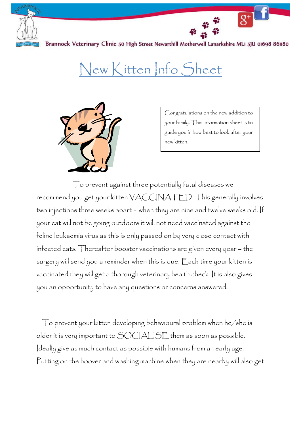

## New Kitten Info Sheet



Congratulations on the new addition to your family. This information sheet is to guide you in how best to look after your new kitten.

 To prevent against three potentially fatal diseases we recommend you get your kitten VACCINATED. This generally involves two injections three weeks apart – when they are nine and twelve weeks old. If your cat will not be going outdoors it will not need vaccinated against the feline leukaemia virus as this is only passed on by very close contact with infected cats. Thereafter booster vaccinations are given every year – the surgery will send you a reminder when this is due. Each time your kitten is vaccinated they will get a thorough veterinary health check. It is also gives you an opportunity to have any questions or concerns answered.

To prevent your kitten developing behavioural problem when he/she is older it is very important to SOCIALISE them as soon as possible. Ideally give as much contact as possible with humans from an early age. Putting on the hoover and washing machine when they are nearby will also get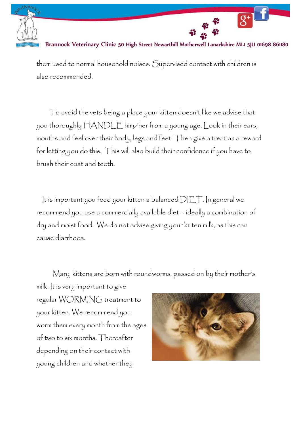

them used to normal household noises. Supervised contact with children is also recommended.

To avoid the vets being a place your kitten doesn't like we advise that you thoroughly HANDLE him/her from a young age. Look in their ears, mouths and feel over their body, legs and feet. Then give a treat as a reward for letting you do this. This will also build their confidence if you have to brush their coat and teeth.

It is important you feed your kitten a balanced DIET. In general we recommend you use a commercially available diet – ideally a combination of dry and moist food. We do not advise giving your kitten milk, as this can cause diarrhoea.

Many kittens are born with roundworms, passed on by their mother's

milk. It is very important to give regular WORMING treatment to your kitten. We recommend you worm them every month from the ages of two to six months. Thereafter depending on their contact with young children and whether they

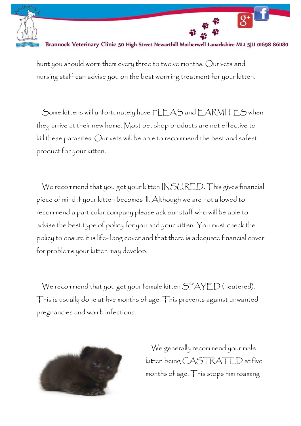

hunt you should worm them every three to twelve months. Our vets and nursing staff can advise you on the best worming treatment for your kitten.

Some kittens will unfortunately have FLEAS and EARMITES when they arrive at their new home. Most pet shop products are not effective to kill these parasites. Our vets will be able to recommend the best and safest product for your kitten.

We recommend that you get your kitten INSURED. This gives financial piece of mind if your kitten becomes ill. Although we are not allowed to recommend a particular company please ask our staff who will be able to advise the best type of policy for you and your kitten. You must check the policy to ensure it is life- long cover and that there is adequate financial cover for problems your kitten may develop.

We recommend that you get your female kitten SPAYED (neutered). This is usually done at five months of age. This prevents against unwanted pregnancies and womb infections.



We generally recommend your male kitten being CASTRATED at five months of age. This stops him roaming